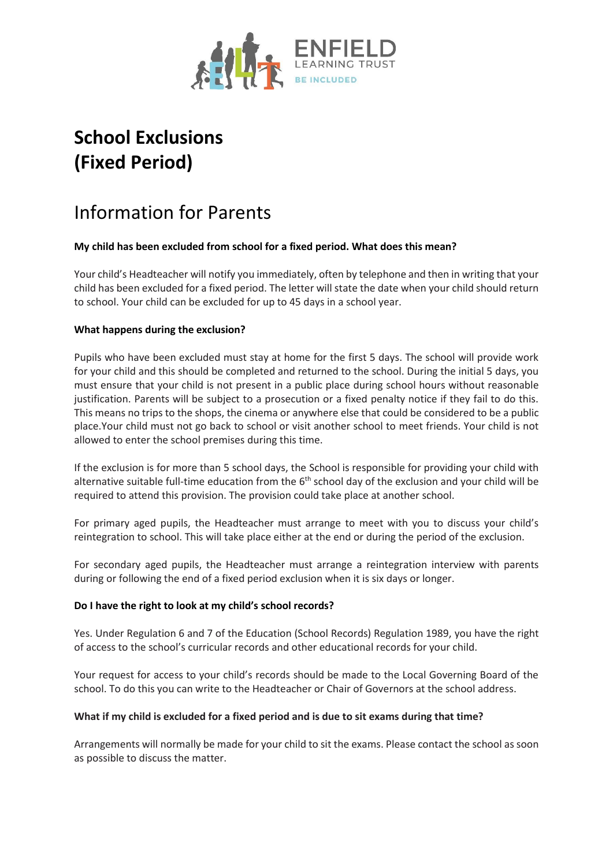

# **School Exclusions (Fixed Period)**

# Information for Parents

## **My child has been excluded from school for a fixed period. What does this mean?**

Your child's Headteacher will notify you immediately, often by telephone and then in writing that your child has been excluded for a fixed period. The letter will state the date when your child should return to school. Your child can be excluded for up to 45 days in a school year.

### **What happens during the exclusion?**

Pupils who have been excluded must stay at home for the first 5 days. The school will provide work for your child and this should be completed and returned to the school. During the initial 5 days, you must ensure that your child is not present in a public place during school hours without reasonable justification. Parents will be subject to a prosecution or a fixed penalty notice if they fail to do this. This means no trips to the shops, the cinema or anywhere else that could be considered to be a public place.Your child must not go back to school or visit another school to meet friends. Your child is not allowed to enter the school premises during this time.

If the exclusion is for more than 5 school days, the School is responsible for providing your child with alternative suitable full-time education from the  $6<sup>th</sup>$  school day of the exclusion and your child will be required to attend this provision. The provision could take place at another school.

For primary aged pupils, the Headteacher must arrange to meet with you to discuss your child's reintegration to school. This will take place either at the end or during the period of the exclusion.

For secondary aged pupils, the Headteacher must arrange a reintegration interview with parents during or following the end of a fixed period exclusion when it is six days or longer.

#### **Do I have the right to look at my child's school records?**

Yes. Under Regulation 6 and 7 of the Education (School Records) Regulation 1989, you have the right of access to the school's curricular records and other educational records for your child.

Your request for access to your child's records should be made to the Local Governing Board of the school. To do this you can write to the Headteacher or Chair of Governors at the school address.

#### **What if my child is excluded for a fixed period and is due to sit exams during that time?**

Arrangements will normally be made for your child to sit the exams. Please contact the school as soon as possible to discuss the matter.